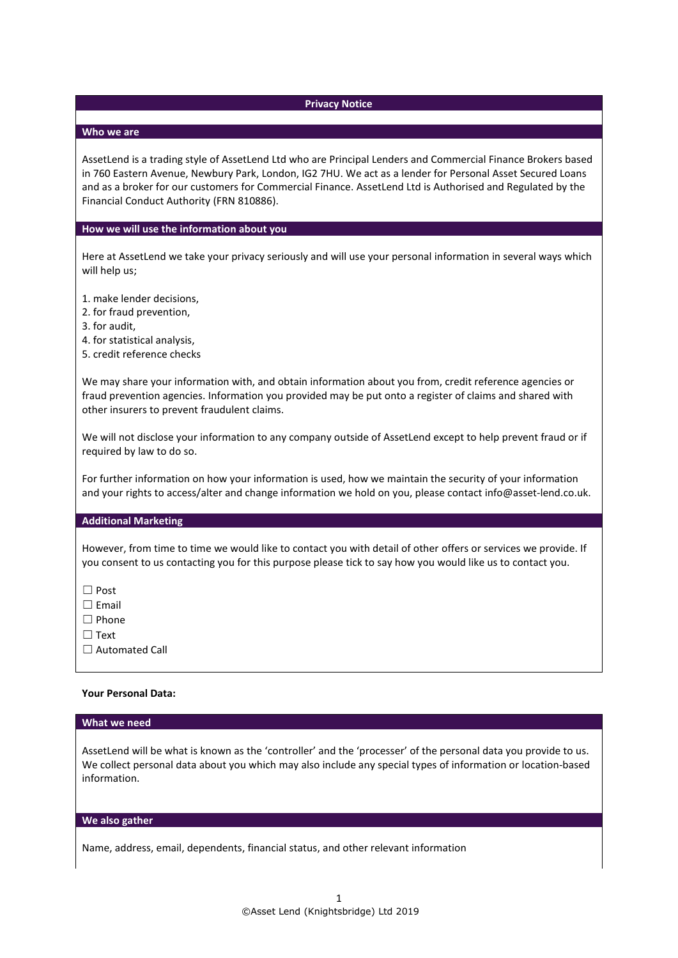## **Privacy Notice**

## **Who we are**

AssetLend is a trading style of AssetLend Ltd who are Principal Lenders and Commercial Finance Brokers based in 760 Eastern Avenue, Newbury Park, London, IG2 7HU. We act as a lender for Personal Asset Secured Loans and as a broker for our customers for Commercial Finance. AssetLend Ltd is Authorised and Regulated by the Financial Conduct Authority (FRN 810886).

### **How we will use the information about you**

Here at AssetLend we take your privacy seriously and will use your personal information in several ways which will help us;

1. make lender decisions,

- 2. for fraud prevention,
- 3. for audit,
- 4. for statistical analysis,
- 5. credit reference checks

We may share your information with, and obtain information about you from, credit reference agencies or fraud prevention agencies. Information you provided may be put onto a register of claims and shared with other insurers to prevent fraudulent claims.

We will not disclose your information to any company outside of AssetLend except to help prevent fraud or if required by law to do so.

For further information on how your information is used, how we maintain the security of your information and your rights to access/alter and change information we hold on you, please contact info@asset-lend.co.uk.

#### **Additional Marketing**

However, from time to time we would like to contact you with detail of other offers or services we provide. If you consent to us contacting you for this purpose please tick to say how you would like us to contact you.

☐ Post

☐ Email

☐ Phone

☐ Text

□ Automated Call

### **Your Personal Data:**

#### **What we need**

AssetLend will be what is known as the 'controller' and the 'processer' of the personal data you provide to us. We collect personal data about you which may also include any special types of information or location-based information.

#### **We also gather**

Name, address, email, dependents, financial status, and other relevant information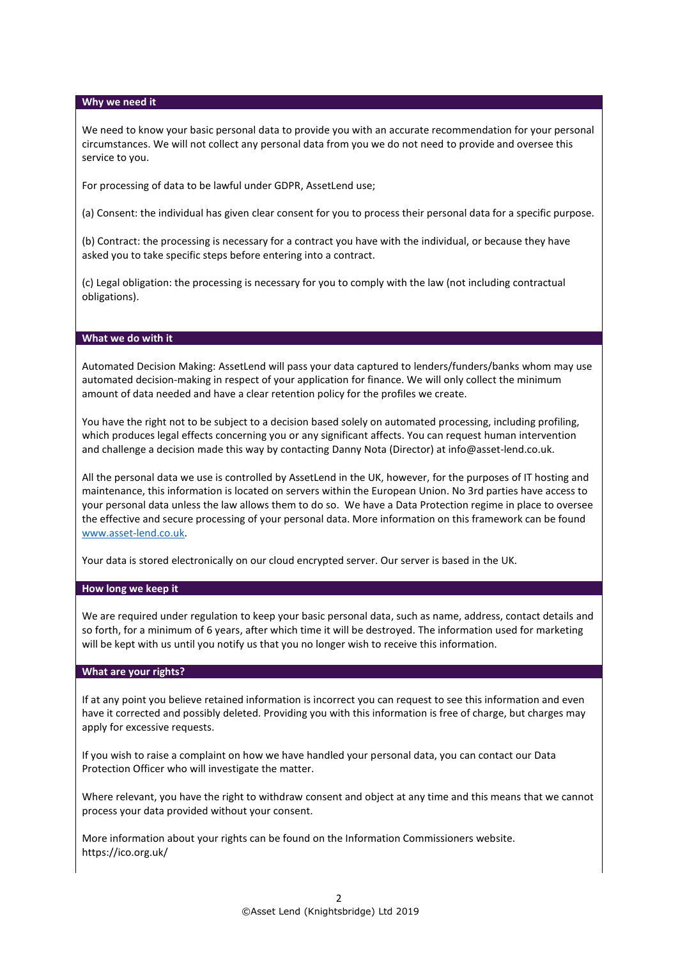### **Why we need it**

We need to know your basic personal data to provide you with an accurate recommendation for your personal circumstances. We will not collect any personal data from you we do not need to provide and oversee this service to you.

For processing of data to be lawful under GDPR, AssetLend use;

(a) Consent: the individual has given clear consent for you to process their personal data for a specific purpose.

(b) Contract: the processing is necessary for a contract you have with the individual, or because they have asked you to take specific steps before entering into a contract.

(c) Legal obligation: the processing is necessary for you to comply with the law (not including contractual obligations).

#### **What we do with it**

Automated Decision Making: AssetLend will pass your data captured to lenders/funders/banks whom may use automated decision-making in respect of your application for finance. We will only collect the minimum amount of data needed and have a clear retention policy for the profiles we create.

You have the right not to be subject to a decision based solely on automated processing, including profiling, which produces legal effects concerning you or any significant affects. You can request human intervention and challenge a decision made this way by contacting Danny Nota (Director) at info@asset-lend.co.uk.

All the personal data we use is controlled by AssetLend in the UK, however, for the purposes of IT hosting and maintenance, this information is located on servers within the European Union. No 3rd parties have access to your personal data unless the law allows them to do so. We have a Data Protection regime in place to oversee the effective and secure processing of your personal data. More information on this framework can be found [www.asset-lend.co.uk.](http://www.asset-lend.co.uk/)

Your data is stored electronically on our cloud encrypted server. Our server is based in the UK.

### **How long we keep it**

We are required under regulation to keep your basic personal data, such as name, address, contact details and so forth, for a minimum of 6 years, after which time it will be destroyed. The information used for marketing will be kept with us until you notify us that you no longer wish to receive this information.

# **What are your rights?**

If at any point you believe retained information is incorrect you can request to see this information and even have it corrected and possibly deleted. Providing you with this information is free of charge, but charges may apply for excessive requests.

If you wish to raise a complaint on how we have handled your personal data, you can contact our Data Protection Officer who will investigate the matter.

Where relevant, you have the right to withdraw consent and object at any time and this means that we cannot process your data provided without your consent.

More information about your rights can be found on the Information Commissioners website. https://ico.org.uk/